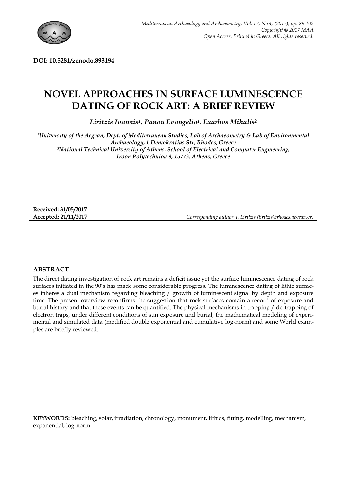

**DOI: 10.5281/zenodo.893194**

# **NOVEL APPROACHES IN SURFACE LUMINESCENCE DATING OF ROCK ART: A BRIEF REVIEW**

*Liritzis Ioannis<sup>1</sup> , Panou Evangelia<sup>1</sup> , Exarhos Mihalis<sup>2</sup>*

*<sup>1</sup>University of the Aegean, Dept. of Mediterranean Studies, Lab of Archaeometry & Lab of Environmental Archaeology, 1 Demokratias Str, Rhodes, Greece <sup>2</sup>National Technical University of Athens, School of Electrical and Computer Engineering, Iroon Polytechniou 9, 15773, Athens, Greece*

**Received: 31/05/2017**

**Accepted: 21/11/2017** *Corresponding author: I. Liritzis (liritzis@rhodes.aegean.gr)*

## **ABSTRACT**

The direct dating investigation of rock art remains a deficit issue yet the surface luminescence dating of rock surfaces initiated in the 90's has made some considerable progress. The luminescence dating of lithic surfaces inheres a dual mechanism regarding bleaching / growth of luminescent signal by depth and exposure time. The present overview reconfirms the suggestion that rock surfaces contain a record of exposure and burial history and that these events can be quantified. The physical mechanisms in trapping / de-trapping of electron traps, under different conditions of sun exposure and burial, the mathematical modeling of experimental and simulated data (modified double exponential and cumulative log-norm) and some World examples are briefly reviewed.

**KEYWORDS:** bleaching, solar, irradiation, chronology, monument, lithics, fitting, modelling, mechanism, exponential, log-norm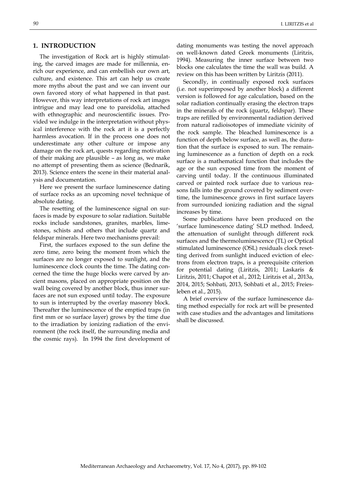## **1. INTRODUCTION**

The investigation of Rock art is highly stimulating, the carved images are made for millennia, enrich our experience, and can embellish our own art, culture, and existence. This art can help us create more myths about the past and we can invent our own favored story of what happened in that past. However, this way interpretations of rock art images intrigue and may lead one to pareidolia, attached with ethnographic and neuroscientific issues. Provided we indulge in the interpretation without physical interference with the rock art it is a perfectly harmless avocation. If in the process one does not underestimate any other culture or impose any damage on the rock art, quests regarding motivation of their making are plausible – as long as, we make no attempt of presenting them as science (Bednarik, 2013). Science enters the scene in their material analysis and documentation.

Here we present the surface luminescence dating of surface rocks as an upcoming novel technique of absolute dating.

The resetting of the luminescence signal on surfaces is made by exposure to solar radiation. Suitable rocks include sandstones, granites, marbles, limestones, schists and others that include quartz and feldspar minerals. Here two mechanisms prevail:

First, the surfaces exposed to the sun define the zero time, zero being the moment from which the surfaces are no longer exposed to sunlight, and the luminescence clock counts the time. The dating concerned the time the huge blocks were carved by ancient masons, placed on appropriate position on the wall being covered by another block, thus inner surfaces are not sun exposed until today. The exposure to sun is interrupted by the overlay masonry block. Thereafter the luminescence of the emptied traps (in first mm or so surface layer) grows by the time due to the irradiation by ionizing radiation of the environment (the rock itself, the surrounding media and the cosmic rays). In 1994 the first development of

dating monuments was testing the novel approach on well-known dated Greek monuments (Liritzis, 1994). Measuring the inner surface between two blocks one calculates the time the wall was build. A review on this has been written by Liritzis (2011).

Secondly, in continually exposed rock surfaces (i.e. not superimposed by another block) a different version is followed for age calculation, based on the solar radiation continually erasing the electron traps in the minerals of the rock (quartz, feldspar). These traps are refilled by environmental radiation derived from natural radioisotopes of immediate vicinity of the rock sample. The bleached luminescence is a function of depth below surface, as well as, the duration that the surface is exposed to sun. The remaining luminescence as a function of depth on a rock surface is a mathematical function that includes the age or the sun exposed time from the moment of carving until today. If the continuous illuminated carved or painted rock surface due to various reasons falls into the ground covered by sediment overtime, the luminescence grows in first surface layers from surrounded ionizing radiation and the signal increases by time.

Some publications have been produced on the ‗surface luminescence dating' SLD method. Indeed, the attenuation of sunlight through different rock surfaces and the thermoluminescence (TL) or Optical stimulated luminescence (OSL) residuals clock resetting derived from sunlight induced eviction of electrons from electron traps, is a prerequisite criterion for potential dating (Liritzis, 2011; Laskaris & Liritzis, 2011; Chapot et al., 2012; Liritzis et al., 2013a, 2014, 2015; Sohbati, 2013, Sohbati et al., 2015; Freiesleben et al., 2015).

A brief overview of the surface luminescence dating method especially for rock art will be presented with case studies and the advantages and limitations shall be discussed.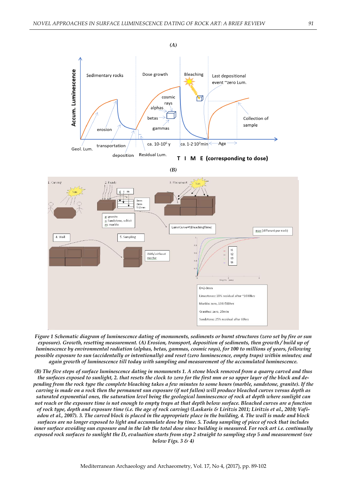

T M E (corresponding to dose)  $\mathbf{I}$ 

*(B)*



*Figure 1 Schematic diagram of luminescence dating of monuments, sediments or burnt structures (zero set by fire or sun exposure). Growth, resetting measurement. (A) Erosion, transport, deposition of sediments, then growth / build up of luminescence by environmental radiation (alphas, betas, gammas, cosmic rays), for 100 to millions of years, following possible exposure to sun (accidentally or intentionally) and reset (zero luminescence, empty traps) within minutes; and again growth of luminescence till today with sampling and measurement of the accumulated luminescence.*

*(B) The five steps of surface luminescence dating in monuments 1. A stone block removed from a quarry carved and thus the surfaces exposed to sunlight, 2. that resets the clock to zero for the first mm or so upper layer of the block and depending from the rock type the complete bleaching takes a few minutes to some hours (marble, sandstone, granite). If the carving is made on a rock then the permanent sun exposure (if not fallen) will produce bleached curves versus depth as saturated exponential ones, the saturation level being the geological luminescence of rock at depth where sunlight can not reach or the exposure time is not enough to empty traps at that depth below surface. Bleached curves are a function of rock type, depth and exposure time (i.e. the age of rock carving) (Laskaris & Liritzis 2011; Liritzis et al., 2010; Vafiadou et al., 2007). 3. The carved block is placed in the appropriate place in the building, 4. The wall is made and block surfaces are no longer exposed to light and accumulate dose by time. 5. Today sampling of piece of rock that includes inner surface avoiding sun exposure and in the lab the total dose since building is measured. For rock art i.e. continually exposed rock surfaces to sunlight the D<sup>e</sup> evaluation starts from step 2 straight to sampling step 5 and measurement (see below Figs. 3 & 4)*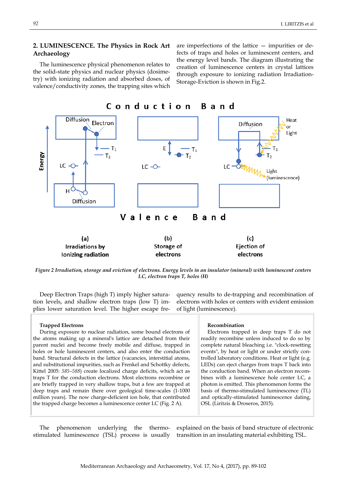## **2. LUMINESCENCE. The Physics in Rock Art Archaeology**

The luminescence physical phenomenon relates to the solid-state physics and nuclear physics (dosimetry) with ionizing radiation and absorbed doses, of valence/conductivity zones, the trapping sites which

are imperfections of the lattice — impurities or defects of traps and holes or luminescent centers, and the energy level bands. The diagram illustrating the creation of luminescence centers in crystal lattices through exposure to ionizing radiation Irradiation-Storage-Eviction is shown in Fig.2.



*Figure 2 Irradiation, storage and eviction of electrons. Energy levels in an insulator (mineral) with luminescent centers LC, electron traps T, holes (H)*

Deep Electron Traps (high T) imply higher saturation levels, and shallow electron traps (low T) implies lower saturation level. The higher escape frequency results to de-trapping and recombination of electrons with holes or centers with evident emission of light (luminescence).

| <b>Trapped Electrons</b>                                                | Recombination                                      |
|-------------------------------------------------------------------------|----------------------------------------------------|
| During exposure to nuclear radiation, some bound electrons of           | Electrons trapped in deep traps T do not           |
| the atoms making up a mineral's lattice are detached from their         | readily recombine unless induced to do so by       |
| parent nuclei and become freely mobile and diffuse, trapped in          | complete natural bleaching i.e. "clock-resetting   |
| holes or hole luminescent centers, and also enter the conduction        | events", by heat or light or under strictly con-   |
| band. Structural defects in the lattice (vacancies, interstitial atoms, | trolled laboratory conditions. Heat or light (e.g. |
| and substitutional impurities, such as Frenkel and Schottky defects,    | LEDs) can eject charges from traps T back into     |
| Kittel 2005: 585-588) create localized charge deficits, which act as    | the conduction band. When an electron recom-       |
| traps T for the conduction electrons. Most electrons recombine or       | bines with a luminescence hole center LC, a        |
| are briefly trapped in very shallow traps, but a few are trapped at     | photon is emitted. This phenomenon forms the       |
| deep traps and remain there over geological time-scales (1-1000         | basis of thermo-stimulated luminescence (TL)       |
| million years). The now charge-deficient ion hole, that contributed     | and optically-stimulated luminescence dating,      |
| the trapped charge becomes a luminescence center LC (Fig. 2 A).         | OSL (Liritzis & Droseros, 2015).                   |
|                                                                         |                                                    |

The phenomenon underlying the thermostimulated luminescence (TSL) process is usually

explained on the basis of band structure of electronic transition in an insulating material exhibiting TSL.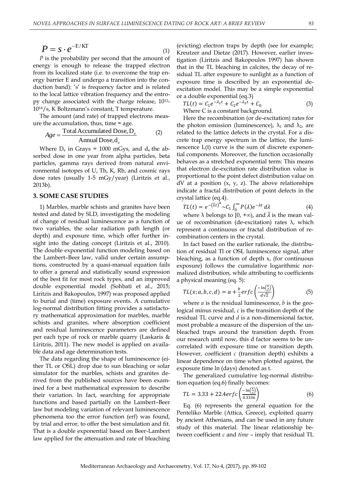$$
P = s \cdot e^{-E/K\Gamma} \tag{1}
$$

*P* is the probability per second that the amount of energy is enough to release the trapped electron from its localized state (i.e. to overcome the trap energy barrier E and undergo a transition into the conduction band): 's' is frequency factor and is related to the local lattice vibration frequency and the entropy change associated with the charge release, 1012- 1014/s, K Boltzmann's constant, T temperature.

The amount (and rate) of trapped electrons measure the accumulation, thus, time = age.

$$
Age = \frac{\text{TotalAccumulated Dose}, D_e}{\text{Annual Dose}, d_e}
$$
 (2)

Where  $D_e$  in Grays = 1000 mGys, and  $d_e$  the absorbed dose in one year from alpha particles, beta particles, gamma rays derived from natural environmental isotopes of U, Th, K, Rb, and cosmic rays dose rates (usually 1-5 mGy/year) (Liritzis et al., 2013b).

### **3. SOME CASE STUDIES**

1) Marbles, marble schists and granites have been tested and dated by SLD, investigating the modeling of change of residual luminescence as a function of two variables, the solar radiation path length (or depth) and exposure time, which offer further insight into the dating concept (Liritzis et al., 2010). The double exponential function modeling based on the Lambert–Beer law, valid under certain assumptions, constructed by a quasi-manual equation fails to offer a general and statistically sound expression of the best fit for most rock types, and an improved double exponential model (Sohbati et al., 2015; Liritzis and Bakopoulos, 1997) was proposed applied to burial and (time) exposure events. A cumulative log-normal distribution fitting provides a satisfactory mathematical approximation for marbles, marble schists and granites, where absorption coefficient and residual luminescence parameters are defined per each type of rock or marble quarry (Laskaris & Liritzis, 2011). The new model is applied on available data and age determination tests.

The data regarding the shape of luminescence (either TL or OSL) drop due to sun bleaching or solar simulator for the marbles, schists and granites derived from the published sources have been examined for a best mathematical expression to describe their variation. In fact, searching for appropriate functions and based partially on the Lambert–Beer law but modeling variation of relevant luminescence phenomena too the error function (erf) was found, by trial and error, to offer the best simulation and fit. That is a double exponential based on Beer-Lambert law applied for the attenuation and rate of bleaching

(evicting) electron traps by depth (see for example; Kreutzer and Dietze (2017). However, earlier investigation (Liritzis and Bakopoulos 1997) has shown that in the TL bleaching in calcites, the decay of residual TL after exposure to sunlight as a function of exposure time is described by an exponential deexcitation model. This may be a simple exponential or a double exponential (eq.3)

 $TL(t) = C_1 e^{-\lambda_1 t} + C_2 e^{-\lambda_2 t}$ (3) Where C is a constant background.

Here the recombination (or de-excitation) rates for the photon emission (luminescence),  $\lambda_1$  and  $\lambda_2$ , are related to the lattice defects in the crystal. For a discrete trap energy spectrum in the lattice, the luminescence L(t) curve is the sum of discrete exponential components. Moreover, the function occasionally behaves as a stretched exponential term: This means that electron de-excitation rate distribution value is proportional to the point defect distribution value on  $dV$  at a position  $(x, y, z)$ . The above relationships indicate a fractal distribution of point defects in the crystal lattice (eq.4).

$$
TL(t) = e^{-(\bar{\lambda}t)^{\alpha}} \sim C_1 \int_0^{\infty} P(\lambda) e^{-\lambda t} d\lambda
$$
 (4)

where  $\lambda$  belongs to [0, +∞), and  $\overline{\lambda}$  is the mean value of recombination (de-excitation) rates λ, which represent a continuous or fractal distribution of recombination centers in the crystal.

In fact based on the earlier rationale, the distribution of residual Tl or OSL luminescence signal, after bleaching, as a function of depth x, (for continuous exposure) follows the cumulative logarithmic normalized distribution, while attributing to coefficients a physical meaning (eq. 5):

$$
TL(x; a, b, c, d) = a + \frac{b}{2} erfc\left(\frac{-\ln(\frac{x}{c})}{d\sqrt{2}}\right)
$$
(5)

where *a* is the residual luminescence, *b* is the geological minus residual, *c* is the transition depth of the residual TL curve and *d* is a non-dimensional factor, most probable a measure of the dispersion of the unbleached traps around the transition depth. From our research until now, this d factor seems to be uncorrelated with exposure time or transition depth. However, coefficient *c* (transition depth) exhibits a linear dependence on time when plotted against, the exposure time ln (days) denoted as t.

The generalized cumulative log-normal distribution equation (eq.6) finally becomes:

$$
TL = 3.33 + 22.4erfc\left(\frac{-\ln(\frac{x}{c})}{0.3336}\right)
$$
 (6)

Eq. (6) represents the general equation for the Penteliko Marble (Attica, Greece), exploited quarry by ancient Athenians, and can be used in any future study of this material. The linear relationship between coefficient *c* and *time* – imply that residual TL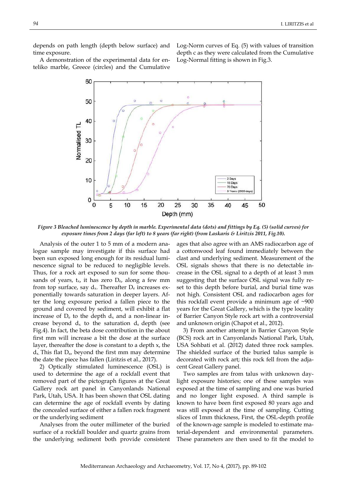depends on path length (depth below surface) and time exposure.

Log-Norm curves of Eq. (5) with values of transition depth c as they were calculated from the Cumulative Log-Normal fitting is shown in Fig.3.

A demonstration of the experimental data for enteliko marble, Greece (circles) and the Cumulative



*Figure 3 Bleached luminescence by depth in marble. Experimental data (dots) and fittings by Eq. (5) (solid curves) for exposure times from 2 days (far left) to 8 years (far right) (from Laskaris & Liritzis 2011, Fig.10).*

Analysis of the outer 1 to 5 mm of a modern analogue sample may investigate if this surface had been sun exposed long enough for its residual luminescence signal to be reduced to negligible levels. Thus, for a rock art exposed to sun for some thousands of years,  $t_x$ , it has zero  $D_e$ , along a few mm from top surface, say  $d_x$ . Thereafter  $D_e$  increases exponentially towards saturation in deeper layers. After the long exposure period a fallen piece to the ground and covered by sediment, will exhibit a flat increase of  $D_e$  to the depth  $d_x$  and a non-linear increase beyond  $d_x$  to the saturation  $d_s$  depth (see Fig.4). In fact, the beta dose contribution in the about first mm will increase a bit the dose at the surface layer, thereafter the dose is constant to a depth x, the  $d_{x}$ . This flat  $D_{e}$ , beyond the first mm may determine the date the piece has fallen (Liritzis et al., 2017).

2) Optically stimulated luminescence (OSL) is used to determine the age of a rockfall event that removed part of the pictograph figures at the Great Gallery rock art panel in Canyonlands National Park, Utah, USA. It has been shown that OSL dating can determine the age of rockfall events by dating the concealed surface of either a fallen rock fragment or the underlying sediment

Analyses from the outer millimeter of the buried surface of a rockfall boulder and quartz grains from the underlying sediment both provide consistent

ages that also agree with an AMS radiocarbon age of a cottonwood leaf found immediately between the clast and underlying sediment. Measurement of the OSL signals shows that there is no detectable increase in the OSL signal to a depth of at least 3 mm suggesting that the surface OSL signal was fully reset to this depth before burial, and burial time was not high. Consistent OSL and radiocarbon ages for this rockfall event provide a minimum age of ~900 years for the Great Gallery, which is the type locality of Barrier Canyon Style rock art with a controversial and unknown origin (Chapot et al., 2012).

3) From another attempt in Barrier Canyon Style (BCS) rock art in Canyonlands National Park, Utah, USA Sohbati et al. (2012) dated three rock samples. The shielded surface of the buried talus sample is decorated with rock art; this rock fell from the adjacent Great Gallery panel.

Two samples are from talus with unknown daylight exposure histories; one of these samples was exposed at the time of sampling and one was buried and no longer light exposed. A third sample is known to have been first exposed 80 years ago and was still exposed at the time of sampling. Cutting slices of 1mm thickness, First, the OSL-depth profile of the known-age sample is modeled to estimate material-dependent and environmental parameters. These parameters are then used to fit the model to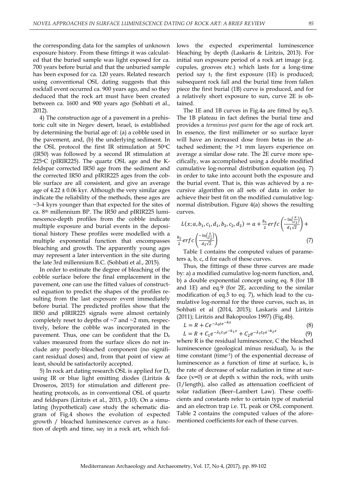the corresponding data for the samples of unknown exposure history. From these fittings it was calculated that the buried sample was light exposed for ca. 700 years before burial and that the unburied sample has been exposed for ca. 120 years. Related research using conventional OSL dating suggests that this rockfall event occurred ca. 900 years ago, and so they deduced that the rock art must have been created between ca. 1600 and 900 years ago (Sohbati et al., 2012).

4) The construction age of a pavement in a prehistoric cult site in Negev desert, Israel, is established by determining the burial age of: (a) a cobble used in the pavement, and, (b) the underlying sediment. In the OSL protocol the first IR stimulation at  $50^{\circ}$ C (IR50) was followed by a second IR stimulation at 225 $\degree$ C (pIRIR225). The quartz OSL age and the Kfeldspar corrected IR50 age from the sediment and the corrected IR50 and pIRIR225 ages from the cobble surface are all consistent, and give an average age of  $4.22 \pm 0.06$  kyr. Although the very similar ages indicate the reliability of the methods, these ages are ~3-4 kyrs younger than that expected for the sites of ca. 8th millennium BP. The IR50 and pIRIR225 luminescence-depth profiles from the cobble indicate multiple exposure and burial events in the depositional history These profiles were modelled with a multiple exponential function that encompasses bleaching and growth. The apparently young ages may represent a later intervention in the site during the late 3rd millennium B.C. (Sohbati et al., 2015).

In order to estimate the degree of bleaching of the cobble surface before the final emplacement in the pavement, one can use the fitted values of constructed equation to predict the shapes of the profiles resulting from the last exposure event immediately before burial. The predicted profiles show that the IR50 and pIRIR225 signals were almost certainly completely reset to depths of ~7 and ~2 mm, respectively, before the cobble was incorporated in the pavement. Thus, one can be confident that the  $D_e$ values measured from the surface slices do not include any poorly-bleached component (no significant residual doses) and, from that point of view at least, should be satisfactorily accepted.

5) In rock art dating research OSL is applied for D<sup>e</sup> using IR or blue light emitting diodes (Liritzis  $\&$ Droseros, 2015) for stimulation and different preheating protocols, as in conventional OSL of quartz and feldspars (Liritzis et al., 2013, p.10). On a simulating (hypothetical) case study the schematic diagram of Fig.4 shows the evolution of expected growth / bleached luminescence curves as a function of depth and time, say in a rock art, which follows the expected experimental luminescence bleaching by depth (Laskaris & Liritzis, 2013). For initial sun exposure period of a rock art image (e.g. cupules, grooves etc.) which lasts for a long-time period say  $t_1$  the first exposure (1E) is produced; subsequent rock fall and the burial time from fallen piece the first burial (1B) curve is produced, and for a relatively short exposure to sun, curve 2E is obtained.

The 1E and 1B curves in Fig.4a are fitted by eq.5. The 1B plateau in fact defines the burial time and provides a *terminus post quem* for the age of rock art. In essence, the first millimeter or so surface layer will have an increased dose from betas in the attached sediment; the >1 mm layers experience on average a similar dose rate. The 2E curve more specifically, was accomplished using a double modified cumulative log-normal distribution equation (eq. 7) in order to take into account both the exposure and the burial event. That is, this was achieved by a recursive algorithm on all sets of data in order to achieve their best fit on the modified cumulative lognormal distribution. Figure 4(a) shows the resulting curves.

$$
L(x; a, b_1, c_1, d_1, b_2, c_2, d_2) = a + \frac{b_1}{2} erfc\left(\frac{-\ln\left(\frac{x}{c_1}\right)}{d_1\sqrt{2}}\right) + \frac{b_2}{2} erfc\left(\frac{-\ln\left(\frac{x}{c_2}\right)}{d_2\sqrt{2}}\right)
$$
(7)

Table 1 contains the computed values of parameters a, b, c, d for each of these curves.

Thus, the fittings of these three curves are made by: a) a modified cumulative log-norm function, and, b) a double exponential concept using eq. 8 (for 1B and 1E) and eq.9 (for 2E, according to the similar modification of eq.5 to eq. 7), which lead to the cumulative log-normal for the three curves, such as, in Sohbati et al (2014, 2015); Laskaris and Liritzis (2011); Liritzis and Bakopoulos 1997) (Fig.4b).

$$
L = R + Ce^{-\lambda_0 t e^{-kx}} \tag{8}
$$
  
\n
$$
L = R + C_1 e^{-\lambda_1 t_1 e^{-k_1 x}} + C_2 e^{-\lambda_2 t_2 e^{-k_2 x}} \tag{9}
$$

 (9) where R is the residual luminescence, C the bleached luminescence (geological minus residual),  $\lambda_0$  is the time constant (time-1 ) of the exponential decrease of luminescence as a function of time at surface,  $k_x$  is the rate of decrease of solar radiation in time at surface  $(x=0)$  or at depth x within the rock, with units (1/length), also called as attenuation coefficient of solar radiation (Beer–Lambert Law). These coefficients and constants refer to certain type of material and an electron trap i.e. TL peak or OSL component. Table 2 contains the computed values of the aforementioned coefficients for each of these curves.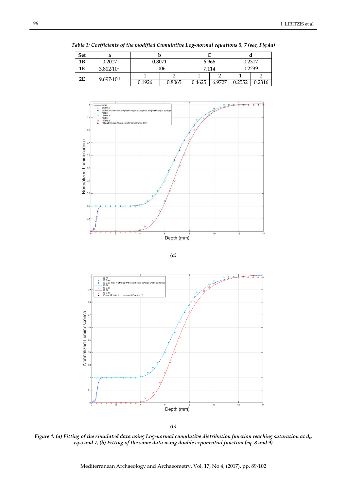| <b>Set</b> |                       |        |        |        |        |        |        |
|------------|-----------------------|--------|--------|--------|--------|--------|--------|
| 1B         | 0.2017                | 0.8071 |        | 6.966  |        | 0.2317 |        |
| 1E         | $3.802 \cdot 10^{-3}$ |        | 1.006  | 7.114  |        | 0.2239 |        |
| 2E         | $9.697 \cdot 10^{-3}$ |        |        |        |        |        |        |
|            |                       | 0.1926 | 0.8065 | 0.4625 | 6.9727 | 0.2552 | 0.2316 |

*Table 1: Coefficients of the modified Cumulative Log-normal equations 5, 7 (see, Fig.4a)*







*(b)*

*Figure 4: (a) Fitting of the simulated data using Log-normal cumulative distribution function reaching saturation at ds, eq.5 and 7, (b) Fitting of the same data using double exponential function (eq. 8 and 9)*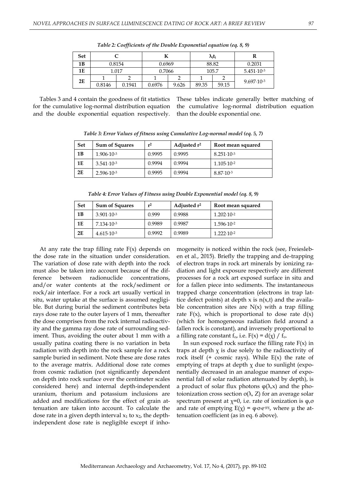| <b>Set</b> |        |        |        |       | $\lambda_i$ t <sub>i</sub> |       |                       |  |
|------------|--------|--------|--------|-------|----------------------------|-------|-----------------------|--|
| 1B         | 0.8154 |        | 0.6969 |       | 88.82                      |       | 0.2031                |  |
| 1E         | 1.017  |        | 0.7066 |       | 105.7                      |       | $5.451 \cdot 10^{-3}$ |  |
| 2E         |        |        |        |       |                            |       | $9.697 \cdot 10^{-3}$ |  |
|            | 0.8146 | 0.1941 | 0.6976 | 9.626 | 89.35                      | 59.15 |                       |  |

*Table 2: Coefficients of the Double Exponential equation (eq. 8, 9)*

Tables 3 and 4 contain the goodness of fit statistics for the cumulative log-normal distribution equation and the double exponential equation respectively. These tables indicate generally better matching of the cumulative log-normal distribution equation than the double exponential one.

*Table 3: Error Values of fitness using Cumulative Log-normal model (eq. 5, 7)*

| <b>Set</b> | <b>Sum of Squares</b> | $r^2$  | Adjusted r <sup>2</sup> | Root mean squared     |
|------------|-----------------------|--------|-------------------------|-----------------------|
| 1B         | $1.906 \cdot 10^{-3}$ | 0.9995 | 0.9995                  | $8.251 \cdot 10^{-3}$ |
| 1E         | $3.541 \cdot 10^{-3}$ | 0.9994 | 0.9994                  | $1.105 \cdot 10^{-2}$ |
| 2E         | $2.596 \cdot 10^{-3}$ | 0.9995 | 0.9994                  | $8.87 \cdot 10^{-3}$  |

*Table 4: Error Values of Fitness using Double Exponential model (eq. 8, 9)*

| <b>Set</b> | <b>Sum of Squares</b> | $r^2$  | Adjusted $r^2$ | Root mean squared     |
|------------|-----------------------|--------|----------------|-----------------------|
| 1B         | $3.901 \cdot 10^{-3}$ | 0.999  | 0.9988         | $1.202 \cdot 10^{-2}$ |
| 1E         | $7.134 \cdot 10^{-3}$ | 0.9989 | 0.9987         | $1.596 \cdot 10^{-2}$ |
| 2E         | $4.615 \cdot 10^{-3}$ | 0.9992 | 0.9989         | $1.222 \cdot 10^{-2}$ |

At any rate the trap filling rate  $F(x)$  depends on the dose rate in the situation under consideration. The variation of dose rate with depth into the rock must also be taken into account because of the difference between radionuclide concentrations, and/or water contents at the rock/sediment or rock/air interface. For a rock art usually vertical in situ, water uptake at the surface is assumed negligible. But during burial the sediment contributes beta rays dose rate to the outer layers of 1 mm, thereafter the dose comprises from the rock internal radioactivity and the gamma ray dose rate of surrounding sediment. Thus, avoiding the outer about 1 mm with a usually patina coating there is no variation in beta radiation with depth into the rock sample for a rock sample buried in sediment. Note these are dose rates to the average matrix. Additional dose rate comes from cosmic radiation (not significantly dependent on depth into rock surface over the centimeter scales considered here) and internal depth-independent uranium, thorium and potassium inclusions are added and modifications for the effect of grain attenuation are taken into account. To calculate the dose rate in a given depth interval  $x_1$  to  $x_2$ , the depthindependent dose rate is negligible except if inhomogeneity is noticed within the rock (see, Freiesleben et al., 2015). Briefly the trapping and de-trapping of electron traps in rock art minerals by ionizing radiation and light exposure respectively are different processes for a rock art exposed surface in situ and for a fallen piece into sediments. The instantaneous trapped charge concentration (electrons in trap lattice defect points) at depth x is  $n(x,t)$  and the available concentration sites are  $N(x)$  with a trap filling rate  $F(x)$ , which is proportional to dose rate  $d(x)$ (which for homogeneous radiation field around a fallen rock is constant), and inversely proportional to a filling rate constant  $f_{o}$ , i.e.  $F(x) = d(x) / f_{o}$ .

In sun exposed rock surface the filling rate  $F(x)$  in traps at depth  $\chi$  is due solely to the radioactivity of rock itself  $(+)$  cosmic rays). While  $E(x)$  the rate of emptying of traps at depth  $\chi$  due to sunlight (exponentially decreased in an analogue manner of exponential fall of solar radiation attenuated by depth), is a product of solar flux photons  $\varphi(\lambda,x)$  and the photoionization cross section  $σ(λ, Z)$  for an average solar spectrum present at  $x=0$ , i.e. rate of ionization is  $\varphi$ ,  $\sigma$ and rate of emptying  $E(\chi) = \varphi \sigma e^{i\mu \chi}$ , where  $\mu$  the attenuation coefficient (as in eq. 6 above).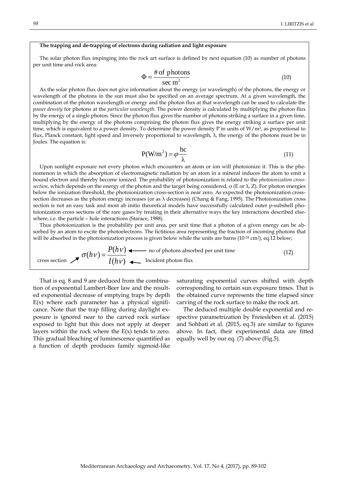#### **The trapping and de-trapping of electrons during radiation and light exposure**

The solar photon flux impinging into the rock art surface is defined by next equation (10) as number of photons per unit time and rock area:

$$
\Phi = \frac{\text{\# of photons}}{\text{sec m}^2} \tag{10}
$$

As the solar photon flux does not give information about the energy (or wavelength) of the photons, the energy or wavelength of the photons in the sun must also be specified on an average spectrum. At a given wavelength, the combination of the photon wavelength or energy and the photon flux at that wavelength can be used to calculate the *power density* for photons at the *particular wavelength*. The power density is calculated by multiplying the photon flux by the energy of a single photon. Since the photon flux gives the number of photons striking a surface in a given time, multiplying by the energy of the photons comprising the photon flux gives the energy striking a surface per unit time, which is equivalent to a power density. To determine the power density P in units of  $W/m^2$ , as proportional to flux, Planck constant, light speed and inversely proportional to wavelength, λ, the energy of the photons must be in Joules. The equation is:

$$
P(W/m2) = \varphi \frac{hc}{\lambda}
$$
 (11)

Upon sunlight exposure not every photon which encounters an atom or ion will photoionize it. This is the phenomenon in which the absorption of electromagnetic radiation by an atom in a mineral induces the atom to emit a bound electron and thereby become ionized. The probability of photoionization is related to the *[photoionization cross](https://en.wikipedia.org/wiki/Photoionisation_cross_section)[section](https://en.wikipedia.org/wiki/Photoionisation_cross_section)*, which depends on the energy of the photon and the target being considered, σ (Ε or λ, Z). For photon energies below the ionization threshold, the photoionization cross-section is near zero. As expected the photoionization crosssection decreases as the photon energy increases (or as λ decreases) (Chang & Fang, 1995). The Photoionization cross section is not an easy task and most ab initio theoretical models have successfully calculated outer p-subshell photoionization cross sections of the rare gases by treating in their alternative ways the key interactions described elsewhere, i.e. the particle – hole interactions (Starace, 1988).

Thus photoionization is the probability per unit area, per unit time that a photon of a given energy can be absorbed by an atom to excite the photoelectrons. The fictitious area representing the fraction of incoming photons that will be absorbed in the photoionization process is given below while the units are barns (10<sup>-24</sup> cm<sup>2</sup>), eq.12 below;

cross section 
$$
\mathcal{J}(\hat{h}V) = \frac{P(hV)}{I(hV)}
$$
  $\longleftarrow$  no of photons absorbed per unit time\n(12)

Τhat is eq. 8 and 9 are deduced from the combination of exponential Lambert-Beer law and the resulted exponential decrease of emptying traps by depth  $E(x)$  where each parameter has a physical significance. Note that the trap filling during daylight exposure is ignored near to the carved rock surface exposed to light but this does not apply at deeper layers within the rock where the  $E(x)$  tends to zero. This gradual bleaching of luminescence quantified as a function of depth produces family sigmoid-like

saturating exponential curves shifted with depth corresponding to certain sun exposure times. That is the obtained curve represents the time elapsed since carving of the rock surface to make the rock art.

The deduced multiple double exponential and respective parametrization by Freiesleben et al. (2015) and Sohbati et al. (2015, eq.3) are similar to figures above. In fact, their experimental data are fitted equally well by our eq. (7) above (Fig.5).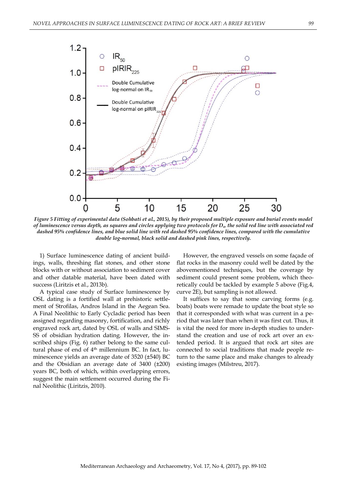

*Figure 5 Fitting of experimental data (Sohbati et al., 2015), by their proposed multiple exposure and burial events model of luminescence versus depth, as squares and circles applying two protocols for De, the solid red line with associated red dashed 95% confidence lines, and blue solid line with red dashed 95% confidence lines, compared with the cumulative double log-normal, black solid and dashed pink lines, respectively.*

1) Surface luminescence dating of ancient buildings, walls, threshing flat stones, and other stone blocks with or without association to sediment cover and other datable material, have been dated with success (Liritzis et al., 2013b).

A typical case study of Surface luminescence by OSL dating is a fortified wall at prehistoric settlement of Strofilas, Andros Island in the Aegean Sea. A Final Neolithic to Early Cycladic period has been assigned regarding masonry, fortification, and richly engraved rock art, dated by OSL of walls and SIMS-SS of obsidian hydration dating. However, the inscribed ships (Fig. 6) rather belong to the same cultural phase of end of 4<sup>th</sup> millennium BC. In fact, luminescence yields an average date of 3520 (±540) BC and the Obsidian an average date of 3400 (±200) years BC, both of which, within overlapping errors, suggest the main settlement occurred during the Final Neolithic (Liritzis, 2010).

However, the engraved vessels on some façade of flat rocks in the masonry could well be dated by the abovementioned techniques, but the coverage by sediment could present some problem, which theoretically could be tackled by example 5 above (Fig.4, curve 2E), but sampling is not allowed.

It suffices to say that some carving forms (e.g. boats) boats were remade to update the boat style so that it corresponded with what was current in a period that was later than when it was first cut. Thus, it is vital the need for more in-depth studies to understand the creation and use of rock art over an extended period. It is argued that rock art sites are connected to social traditions that made people return to the same place and make changes to already existing images (Milstreu, 2017).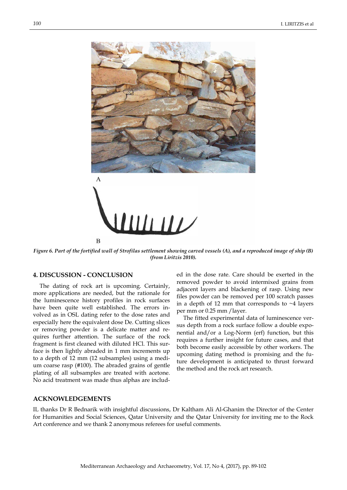

*Figure 6. Part of the fortified wall of Strofilas settlement showing carved vessels (A), and a reproduced image of ship (B) (from Liritzis 2010).*

## **4. DISCUSSION - CONCLUSION**

The dating of rock art is upcoming. Certainly, more applications are needed, but the rationale for the luminescence history profiles in rock surfaces have been quite well established. The errors involved as in OSL dating refer to the dose rates and especially here the equivalent dose De. Cutting slices or removing powder is a delicate matter and requires further attention. The surface of the rock fragment is first cleaned with diluted HCl. This surface is then lightly abraded in 1 mm increments up to a depth of 12 mm (12 subsamples) using a medium coarse rasp (#100). The abraded grains of gentle plating of all subsamples are treated with acetone. No acid treatment was made thus alphas are includ-

ed in the dose rate. Care should be exerted in the removed powder to avoid intermixed grains from adjacent layers and blackening of rasp. Using new files powder can be removed per 100 scratch passes in a depth of 12 mm that corresponds to  $\sim$ 4 layers per mm or 0.25 mm /layer.

The fitted experimental data of luminescence versus depth from a rock surface follow a double exponential and/or a Log-Norm (erf) function, but this requires a further insight for future cases, and that both become easily accessible by other workers. The upcoming dating method is promising and the future development is anticipated to thrust forward the method and the rock art research.

## **ACKNOWLEDGEMENTS**

IL thanks Dr R Bednarik with insightful discussions, Dr Kaltham Ali Al-Ghanim the Director of the Center for Humanities and Social Sciences, Qatar University and the Qatar University for inviting me to the Rock Art conference and we thank 2 anonymous referees for useful comments.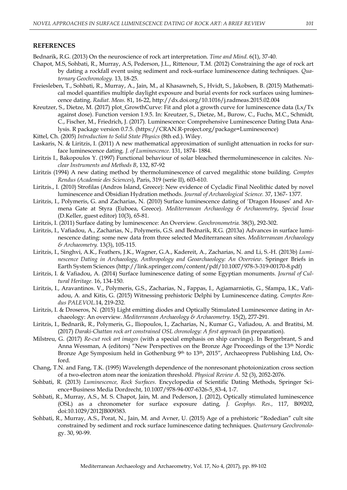### **REFERENCES**

Bednarik, R.G. (2013) On the neuroscience of rock art interpretation. *[Time and Mind.](http://www.tandfonline.com/toc/rtam20/6/1)* 6(1), 37-40.

- Chapot, M.S, Sohbati, R., Murray, A.S, Pederson, J.L., Rittenour, T.M. (2012) Constraining the age of rock art by dating a rockfall event using sediment and rock-surface luminescence dating techniques. *Quaternary Geochronology.* 13, 18-25.
- Freiesleben, T., Sohbati, R., Murray, A., Jain, M., al Khasawneh, S., Hvidt, S., Jakobsen, B. (2015) Mathematical model quantifies multiple daylight exposure and burial events for rock surfaces using luminescence dating. *Radiat. Meas.* 81, 16-22,<http://dx.doi.org/10.1016/j.radmeas.2015.02.004>
- Kreutzer, S., Dietze, M. (2017) plot GrowthCurve: Fit and plot a growth curve for luminescence data (Lx/Tx against dose). Function version 1.9.5. In: Kreutzer, S., Dietze, M., Burow, C., Fuchs, M.C., Schmidt, C., Fischer, M., Friedrich, J. (2017). Luminescence: Comprehensive Luminescence Dating Data Analysis. R package version 0.7.5. [\(https://CRAN.R-project.org/package=Luminescence\)](https://cran.r-project.org/package=Luminescence)
- Kittel, Ch. (2005) *[Introduction to Solid State Physics](http://as.wiley.com/WileyCDA/WileyTitle/productCd-EHEP000803.html)* (8th ed.). Wiley.
- Laskaris, N. & Liritzis, I. (2011) A new mathematical approximation of sunlight attenuation in rocks for surface luminescence dating*. J. of Luminescence*. 131, 1874- 1884.
- Liritzis I., Bakopoulos Y. (1997) Functional behaviour of solar bleached thermoluminescence in calcites. *Nuclear Instruments and Methods B*, 132, 87-92
- Liritzis (1994) A new dating method by thermoluminescence of carved megalithic stone building. *Comptes Rendus (Academie des Sciences*), Paris, 319 (serie II), 603-610.
- Liritzis., I. (2010) Strofilas (Andros Island, Greece): New evidence of Cycladic Final Neolithic dated by novel luminescence and Obsidian Hydration methods. *Journal of Archaeological Science.* 37, 1367- 1377.
- Liritzis, I., Polymeris, G. and Zacharias, N. (2010) Surface luminescence dating of 'Dragon Houses' and Armena Gate at Styra (Euboea, Greece). *Mediterranean Archaeology & Archaeometry*, *Special Issue* (D.Keller, guest editor) 10(3), 65-81.
- Liritzis, I. (2011) Surface dating by luminescence: An Overview. *Geochronometria.* 38(3), 292-302.
- Liritzis, Ι., Vafiadou, A., Zacharias, N., Polymeris, G.S. and Bednarik, R.G. (2013a) Advances in surface luminescence dating: some new data from three selected Mediterranean sites. *Mediterranean Archaeology & Archaeometry.* 13(3), 105-115.
- Liritzis, I., Singhvi, A.K., Feathers, J.K., Wagner, G.A., Kadereit, A., Zacharias, N. and Li, S.-H. (2013b) *Luminescence Dating in Archaeology, Anthropology and Geoarchaeology: An Overview*. Springer Briefs in Earth System Sciences [\(http://link.springer.com/content/pdf/10.1007/978-3-319-00170-8.pdf\)](http://link.springer.com/content/pdf/10.1007/978-3-319-00170-8.pdf)
- Liritzis, I. & Vafiadou, A. (2014) Surface luminescence dating of some Egyptian monuments. *Journal of Cultural Heritage.* 16, 134-150.
- Liritzis, I., Aravantinos. V., Polymeris, G.S., Zacharias, N., Fappas, I., Agiamarniotis, G., Sfampa, I.K., Vafiadou, A. and Kitis, G. (2015) Witnessing prehistoric Delphi by Luminescence dating. *Comptes Rendus PALEVOL*.14, 219-232.
- Liritzis, I. & Droseros, N. (2015) Light emitting diodes and Optically Stimulated Luminescence dating in Archaeology: An overview*. Mediterranean Archaeology & Archaeometry*. 15(2), 277-291.
- Liritzis, I., Bednarik, R., Polymeris, G., Iliopoulos, I., Zacharias, N., Kumar G., Vafiadou, A. and Bratitsi, M. (2017) *Daraki-Chattan rock art constrained OSL chronology: A first approach* (in preparation).
- Milstreu, G. (2017) *Re-cut rock art images* (with a special emphasis on ship carvings). In Bergerbrant, S and Anna Wessman, A (editors) "New Perspectives on the Bronze Age Proceedings of the 13<sup>th</sup> Nordic Bronze Age Symposium held in Gothenburg 9<sup>th</sup> to 13<sup>th</sup>, 2015", Archaeopress Publishing Ltd, Oxford.
- Chang, T.N. and Fang, T.K. (1995) Wavelength dependence of the nonresonant photoionization cross section of a two-electron atom near the ionization threshold. *Physical Review A*. 52 (3), 2052-2076.
- Sohbati, R. (2013) *Luminescence, Rock Surfaces*. Encyclopedia of Scientific Dating Methods, Springer Science+Business Media Dordrecht, 10.1007/978-94-007-6326-5\_83-4, 1-7.
- Sohbati, R., Murray, A.S., M. S. Chapot, Jain, M. and Pederson, J. (2012), Optically stimulated luminescence (OSL) as a chronometer for surface exposure dating*, J. Geophys. Res.,* 117, B09202, doi:10.1029/2012JB009383.
- Sohbati, R., Murray, A.S., Porat, N., Jain, M. and Avner, U. (2015) Age of a prehistoric "Rodedian" cult site constrained by sediment and rock surface luminescence dating techniques*. Quaternary Geochronolo*gy. 30, 90-99.